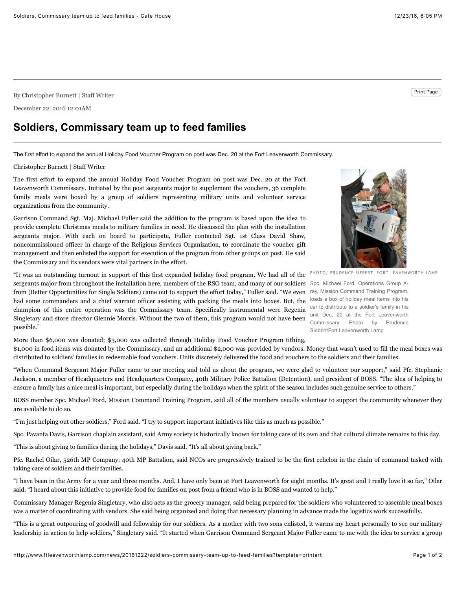By Christopher Burnett | Staff Writer **Print Page** 

December 22. 2016 12:01AM

## **Soldiers, Commissary team up to feed families**

The first effort to expand the annual Holiday Food Voucher Program on post was Dec. 20 at the Fort Leavenworth Commissary.

Christopher Burnett | Staff Writer

possible."

The first effort to expand the annual Holiday Food Voucher Program on post was Dec. 20 at the Fort Leavenworth Commissary. Initiated by the post sergeants major to supplement the vouchers, 36 complete family meals were boxed by a group of soldiers representing military units and volunteer service organizations from the community.

Garrison Command Sgt. Maj. Michael Fuller said the addition to the program is based upon the idea to provide complete Christmas meals to military families in need. He discussed the plan with the installation sergeants major. With each on board to participate, Fuller contacted Sgt. 1st Class David Shaw, noncommissioned officer in charge of the Religious Services Organization, to coordinate the voucher gift management and then enlisted the support for execution of the program from other groups on post. He said the Commissary and its vendors were vital partners in the effort.

"It was an outstanding turnout in support of this first expanded holiday food program. We had all of the

had some commanders and a chief warrant officer assisting with packing the meals into boxes. But, the champion of this entire operation was the Commissary team. Specifically instrumental were Regenia Singletary and store director Glennie Morris. Without the two of them, this program would not have been



PHOTO/ PRUDENCE SIEBERT, FORT LEAVENWORTH LAMP

sergeants major from throughout the installation here, members of the RSO team, and many of our soldiers Spc. Michael Ford, Operations Group Xfrom (Better Opportunities for Single Soldiers) came out to support the effort today," Fuller said. "We even ray, Mission Command Training Program, loads a box of holiday meal items into his car to distribute to a soldier's family in his unit Dec. 20 at the Fort Leavenworth Commissary. Photo by Prudence Siebert/Fort Leavenworth Lamp

More than \$6,000 was donated; \$3,000 was collected through Holiday Food Voucher Program tithing,

\$1,000 in food items was donated by the Commissary, and an additional \$2,000 was provided by vendors. Money that wasn't used to fill the meal boxes was distributed to soldiers' families in redeemable food vouchers. Units discretely delivered the food and vouchers to the soldiers and their families.

"When Command Sergeant Major Fuller came to our meeting and told us about the program, we were glad to volunteer our support," said Pfc. Stephanie Jackson, a member of Headquarters and Headquarters Company, 40th Military Police Battalion (Detention), and president of BOSS. "The idea of helping to ensure a family has a nice meal is important, but especially during the holidays when the spirit of the season includes such genuine service to others."

BOSS member Spc. Michael Ford, Mission Command Training Program, said all of the members usually volunteer to support the community whenever they are available to do so.

"I'm just helping out other soldiers," Ford said. "I try to support important initiatives like this as much as possible."

Spc. Pavanta Davis, Garrison chaplain assistant, said Army society is historically known for taking care of its own and that cultural climate remains to this day.

"This is about giving to families during the holidays," Davis said. "It's all about giving back."

Pfc. Rachel Oilar, 526th MP Company, 40th MP Battalion, said NCOs are progressively trained to be the first echelon in the chain of command tasked with taking care of soldiers and their families.

"I have been in the Army for a year and three months. And, I have only been at Fort Leavenworth for eight months. It's great and I really love it so far," Oilar said. "I heard about this initiative to provide food for families on post from a friend who is in BOSS and wanted to help."

Commissary Manager Regenia Singletary, who also acts as the grocery manager, said being prepared for the soldiers who volunteered to assemble meal boxes was a matter of coordinating with vendors. She said being organized and doing that necessary planning in advance made the logistics work successfully.

"This is a great outpouring of goodwill and fellowship for our soldiers. As a mother with two sons enlisted, it warms my heart personally to see our military leadership in action to help soldiers," Singletary said. "It started when Garrison Command Sergeant Major Fuller came to me with the idea to service a group